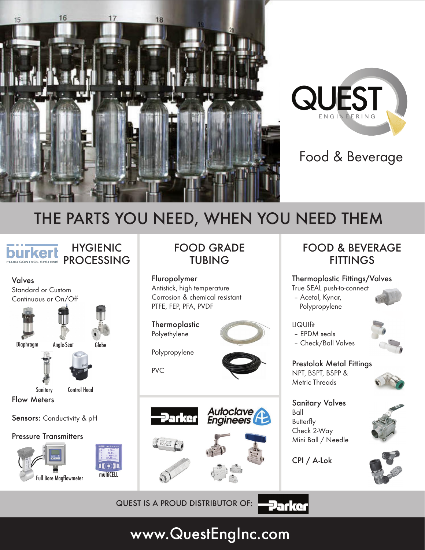



#### Food & Beverage

# THE PARTS YOU NEED, WHEN YOU NEED THEM

HYGIENIC PROCESSING **FLUID CONTROL SYSTEMS** 



#### FOOD GRADE TUBING

Fluropolymer Antistick, high temperature Corrosion & chemical resistant PTFE, FEP, PFA, PVDF

**Thermoplastic** Polyethylene



Polypropylene

PVC







FOOD & BEVERAGE **FITTINGS** 

Thermoplastic Fittings/Valves True SEAL push-to-connect

 – Acetal, Kynar, Polypropylene



LIQUIfit – EPDM seals

– Check/Ball Valves



Prestolok Metal Fittings NPT, BSPT, BSPP & Metric Threads



Sanitary Valves Ball **Butterfly** Check 2-Way Mini Ball / Needle

CPI / A-Lok

**Parker** 





QUEST IS A PROUD DISTRIBUTOR OF:

# www.QuestEngInc.com